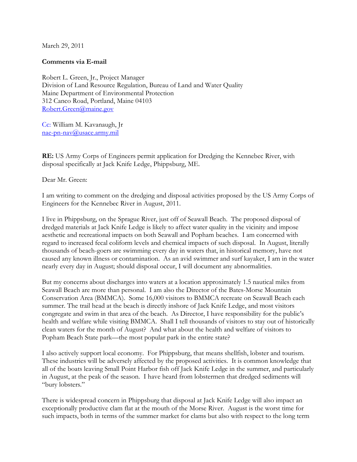March 29, 2011

## **Comments via E-mail**

Robert L. Green, Jr., Project Manager Division of Land Resource Regulation, Bureau of Land and Water Quality Maine Department of Environmental Protection 312 Canco Road, Portland, Maine 04103 [Robert.Green@maine.gov](mailto:Robert.Green@maine.gov)

Cc: William M. Kavanaugh, Jr [nae-pn-nav@usace.army.mil](mailto:nae-pn-nav@usace.army.mil)

**RE:** US Army Corps of Engineers permit application for Dredging the Kennebec River, with disposal specifically at Jack Knife Ledge, Phippsburg, ME.

Dear Mr. Green:

I am writing to comment on the dredging and disposal activities proposed by the US Army Corps of Engineers for the Kennebec River in August, 2011.

I live in Phippsburg, on the Sprague River, just off of Seawall Beach. The proposed disposal of dredged materials at Jack Knife Ledge is likely to affect water quality in the vicinity and impose aesthetic and recreational impacts on both Seawall and Popham beaches. I am concerned with regard to increased fecal coliform levels and chemical impacts of such disposal. In August, literally thousands of beach-goers are swimming every day in waters that, in historical memory, have not caused any known illness or contamination. As an avid swimmer and surf kayaker, I am in the water nearly every day in August; should disposal occur, I will document any abnormalities.

But my concerns about discharges into waters at a location approximately 1.5 nautical miles from Seawall Beach are more than personal. I am also the Director of the Bates-Morse Mountain Conservation Area (BMMCA). Some 16,000 visitors to BMMCA recreate on Seawall Beach each summer. The trail head at the beach is directly inshore of Jack Knife Ledge, and most visitors congregate and swim in that area of the beach. As Director, I have responsibility for the public's health and welfare while visiting BMMCA. Shall I tell thousands of visitors to stay out of historically clean waters for the month of August? And what about the health and welfare of visitors to Popham Beach State park—the most popular park in the entire state?

I also actively support local economy. For Phippsburg, that means shellfish, lobster and tourism. These industries will be adversely affected by the proposed activities. It is common knowledge that all of the boats leaving Small Point Harbor fish off Jack Knife Ledge in the summer, and particularly in August, at the peak of the season. I have heard from lobstermen that dredged sediments will "bury lobsters."

There is widespread concern in Phippsburg that disposal at Jack Knife Ledge will also impact an exceptionally productive clam flat at the mouth of the Morse River. August is the worst time for such impacts, both in terms of the summer market for clams but also with respect to the long term